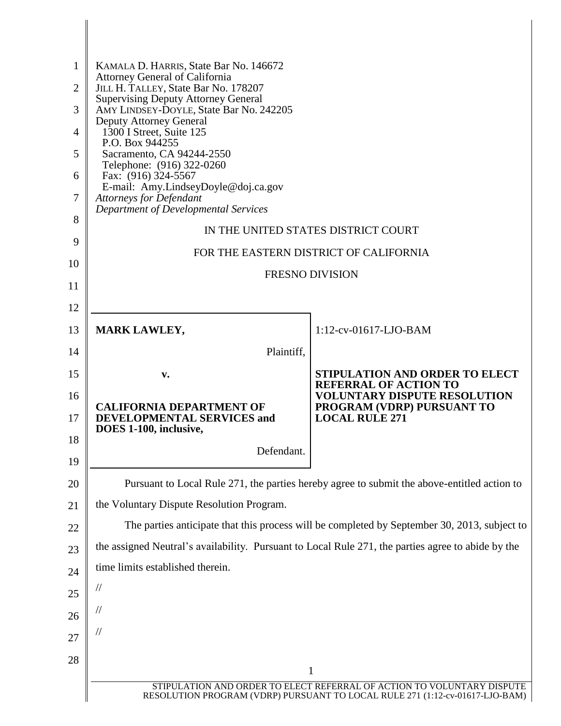| $\mathbf{1}$<br>$\overline{2}$ | KAMALA D. HARRIS, State Bar No. 146672<br>Attorney General of California<br>JILL H. TALLEY, State Bar No. 178207 |                                                                     |  |
|--------------------------------|------------------------------------------------------------------------------------------------------------------|---------------------------------------------------------------------|--|
| 3                              | <b>Supervising Deputy Attorney General</b><br>AMY LINDSEY-DOYLE, State Bar No. 242205                            |                                                                     |  |
| $\overline{4}$                 | <b>Deputy Attorney General</b><br>1300 I Street, Suite 125                                                       |                                                                     |  |
| 5                              | P.O. Box 944255<br>Sacramento, CA 94244-2550                                                                     |                                                                     |  |
| 6                              | Telephone: (916) 322-0260<br>Fax: (916) 324-5567                                                                 |                                                                     |  |
| 7                              | E-mail: Amy.LindseyDoyle@doj.ca.gov<br><b>Attorneys for Defendant</b>                                            |                                                                     |  |
| 8                              | Department of Developmental Services                                                                             |                                                                     |  |
| 9                              | IN THE UNITED STATES DISTRICT COURT                                                                              |                                                                     |  |
| 10                             | FOR THE EASTERN DISTRICT OF CALIFORNIA                                                                           |                                                                     |  |
| 11                             | <b>FRESNO DIVISION</b>                                                                                           |                                                                     |  |
| 12                             |                                                                                                                  |                                                                     |  |
| 13                             | <b>MARK LAWLEY,</b>                                                                                              | $1:12$ -cv-01617-LJO-BAM                                            |  |
| 14                             | Plaintiff,                                                                                                       |                                                                     |  |
| 15                             | v.                                                                                                               | STIPULATION AND ORDER TO ELECT                                      |  |
| 16                             |                                                                                                                  | <b>REFERRAL OF ACTION TO</b><br><b>VOLUNTARY DISPUTE RESOLUTION</b> |  |
| 17                             | <b>CALIFORNIA DEPARTMENT OF</b><br><b>DEVELOPMENTAL SERVICES and</b><br>DOES 1-100, inclusive,                   | PROGRAM (VDRP) PURSUANT TO<br><b>LOCAL RULE 271</b>                 |  |
| 18                             | Defendant.                                                                                                       |                                                                     |  |
| 19                             |                                                                                                                  |                                                                     |  |
| 20                             | Pursuant to Local Rule 271, the parties hereby agree to submit the above-entitled action to                      |                                                                     |  |
| 21                             | the Voluntary Dispute Resolution Program.                                                                        |                                                                     |  |
| 22                             | The parties anticipate that this process will be completed by September 30, 2013, subject to                     |                                                                     |  |
| 23                             | the assigned Neutral's availability. Pursuant to Local Rule 271, the parties agree to abide by the               |                                                                     |  |
| 24                             | time limits established therein.                                                                                 |                                                                     |  |
| 25                             | $\frac{1}{2}$                                                                                                    |                                                                     |  |
| 26                             | $\frac{1}{2}$                                                                                                    |                                                                     |  |
| 27                             | $\frac{1}{2}$                                                                                                    |                                                                     |  |
| 28                             |                                                                                                                  |                                                                     |  |
|                                | $\mathbf{1}$<br>STIPULATION AND ORDER TO ELECT REFERRAL OF ACTION TO VOLUNTARY DISPUTE                           |                                                                     |  |
|                                | RESOLUTION PROGRAM (VDRP) PURSUANT TO LOCAL RULE 271 (1:12-cv-01617-LJO-BAM)                                     |                                                                     |  |